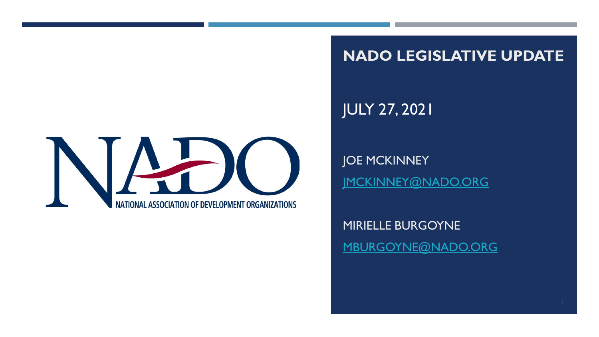**NADO LEGISLATIVE UPDATE**

JULY 27, 2021

JOE MCKINNEY [JMCKINNEY@NADO.ORG](mailto:Jmckinney@nado.org)

MIRIELLE BURGOYNE [MBURGOYNE@NADO.ORG](mailto:mburgoyne@nado.org)

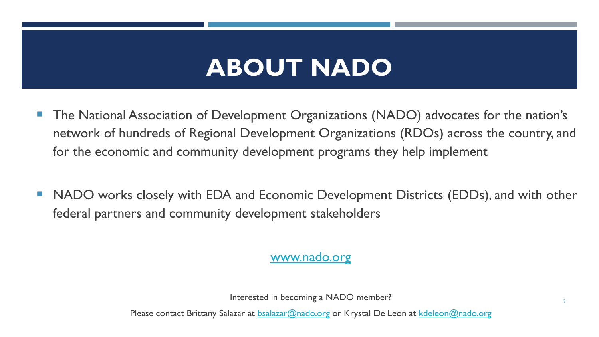# **ABOUT NADO**

- The National Association of Development Organizations (NADO) advocates for the nation's network of hundreds of Regional Development Organizations (RDOs) across the country, and for the economic and community development programs they help implement
- NADO works closely with EDA and Economic Development Districts (EDDs), and with other federal partners and community development stakeholders

[www.nado.org](http://www.nado.org/)

Interested in becoming a NADO member?

Please contact Brittany Salazar at **bsalazar@nado.org** or Krystal De Leon at [kdeleon@nado.org](mailto:kdeleon@nado.org)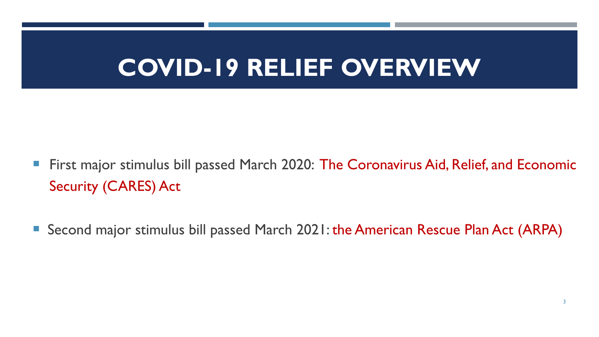# **COVID-19 RELIEF OVERVIEW**

- **First major stimulus bill passed March 2020: The Coronavirus Aid, Relief, and Economic** Security (CARES) Act
- Second major stimulus bill passed March 2021: the American Rescue Plan Act (ARPA)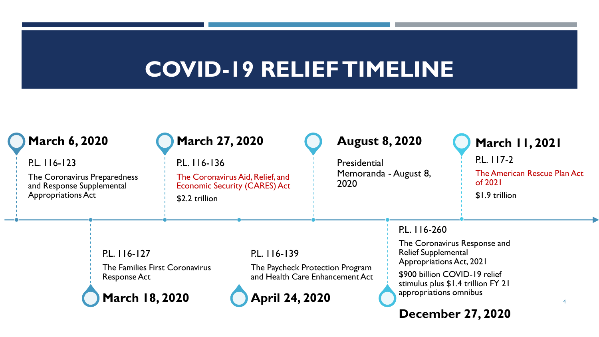## **COVID-19 RELIEF TIMELINE**

| <b>March 6, 2020</b>                                                                                   |                                                                                                | <b>March 27, 2020</b>                                                                                      |                                                                                                             | <b>August 8, 2020</b>                         |                                                                                                                                                                                                                                            | <b>March 11, 2021</b>                                                   |  |  |
|--------------------------------------------------------------------------------------------------------|------------------------------------------------------------------------------------------------|------------------------------------------------------------------------------------------------------------|-------------------------------------------------------------------------------------------------------------|-----------------------------------------------|--------------------------------------------------------------------------------------------------------------------------------------------------------------------------------------------------------------------------------------------|-------------------------------------------------------------------------|--|--|
| P.L. 116-123<br>The Coronavirus Preparedness<br>and Response Supplemental<br><b>Appropriations Act</b> |                                                                                                | P.L. 116-136<br>The Coronavirus Aid, Relief, and<br><b>Economic Security (CARES) Act</b><br>\$2.2 trillion |                                                                                                             | Presidential<br>Memoranda - August 8,<br>2020 |                                                                                                                                                                                                                                            | P.L. 117-2<br>The American Rescue Plan Act<br>of 2021<br>\$1.9 trillion |  |  |
|                                                                                                        | P.L. 116-127<br>The Families First Coronavirus<br><b>Response Act</b><br><b>March 18, 2020</b> |                                                                                                            | P.L. 116-139<br>The Paycheck Protection Program<br>and Health Care Enhancement Act<br><b>April 24, 2020</b> |                                               | P.L. 116-260<br>The Coronavirus Response and<br><b>Relief Supplemental</b><br><b>Appropriations Act, 2021</b><br>\$900 billion COVID-19 relief<br>stimulus plus \$1.4 trillion FY 21<br>appropriations omnibus<br><b>December 27, 2020</b> |                                                                         |  |  |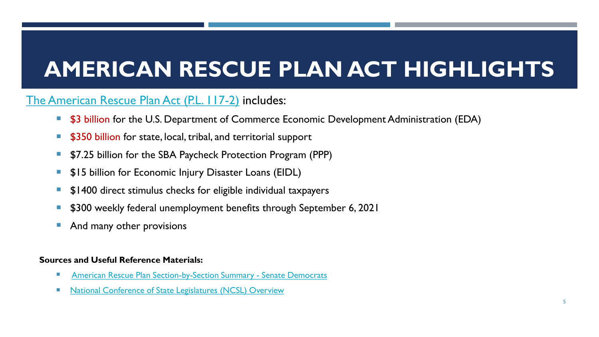# **AMERICAN RESCUE PLAN ACT HIGHLIGHTS**

## [The American Rescue Plan Act \(P.L. 117-2\)](https://www.congress.gov/bill/117th-congress/house-bill/1319/text) includes:

- \$3 billion for the U.S. Department of Commerce Economic Development Administration (EDA)
- **5350 billion for state, local, tribal, and territorial support**
- **57.25 billion for the SBA Paycheck Protection Program (PPP)**
- **515 billion for Economic Injury Disaster Loans (EIDL)**
- \$1400 direct stimulus checks for eligible individual taxpayers
- \$300 weekly federal unemployment benefits through September 6, 2021
- And many other provisions

#### **Sources and Useful Reference Materials:**

- [American Rescue Plan Section-by-Section Summary -](https://www.democrats.senate.gov/imo/media/doc/ARP%20-%20Title-by-Title%20Summary.pdf) Senate Democrats
- [National Conference of State Legislatures \(NCSL\) Overview](https://www.ncsl.org/ncsl-in-dc/publications-and-resources/american-rescue-plan-act-of-2021.aspx)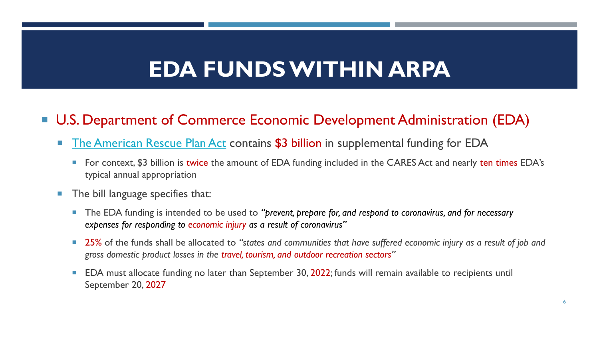## **EDA FUNDS WITHIN ARPA**

## ■ U.S. Department of Commerce Economic Development Administration (EDA)

- **[The American Rescue Plan Act](https://www.congress.gov/bill/117th-congress/house-bill/1319/text) contains \$3 billion in supplemental funding for EDA** 
	- For context, \$3 billion is twice the amount of EDA funding included in the CARES Act and nearly ten times EDA's typical annual appropriation
- **The bill language specifies that:** 
	- The EDA funding is intended to be used to *"prevent, prepare for, and respond to coronavirus, and for necessary expenses for responding to economic injury as a result of coronavirus"*
	- 25% of the funds shall be allocated to *"states and communities that have suffered economic injury as a result of job and gross domestic product losses in the travel, tourism, and outdoor recreation sectors"*
	- EDA must allocate funding no later than September 30, 2022; funds will remain available to recipients until September 20, 2027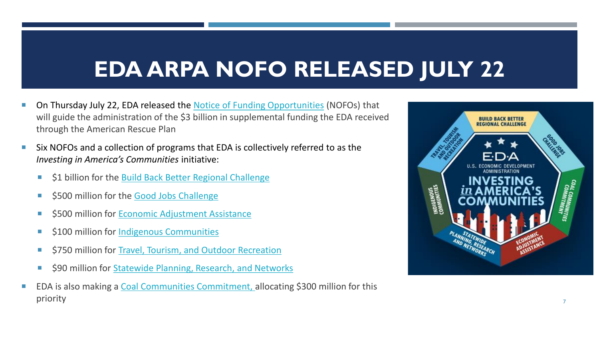# **EDA ARPA NOFO RELEASED JULY 22**

- On Thursday July 22, EDA released the [Notice of Funding Opportunities](https://eda.gov/funding-opportunities/) (NOFOs) that will guide the administration of the \$3 billion in supplemental funding the EDA received through the American Rescue Plan
- Six NOFOs and a collection of programs that EDA is collectively referred to as the *Investing in America's Communities* initiative:
	- **51 billion for the [Build Back Better Regional Challenge](https://eda.gov/arpa/build-back-better/?utm_content=&utm_medium=email&utm_name=&utm_source=govdelivery&utm_term=)**
	- \$500 million for the [Good Jobs Challenge](https://eda.gov/arpa/good-jobs-challenge/?utm_content=&utm_medium=email&utm_name=&utm_source=govdelivery&utm_term=)
	- **5500 million for Economic Adjustment Assistance**
	- **S100 million for [Indigenous Communities](https://eda.gov/arpa/indigenous/?utm_content=&utm_medium=email&utm_name=&utm_source=govdelivery&utm_term=)**
	- \$750 million for [Travel, Tourism, and Outdoor Recreation](https://eda.gov/arpa/travel-tourism/?utm_content=&utm_medium=email&utm_name=&utm_source=govdelivery&utm_term=)
	- \$90 million for Statewide Planning, Research, and Networks
- EDA is also making a Coal Communities Commitment, allocating \$300 million for this priority the contract of the contract of the contract of the contract of the contract of the contract of the contract of the contract of the contract of the contract of the contract of the contract of the contract of the c

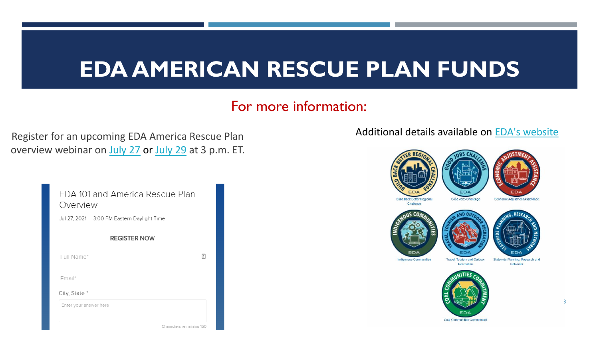## **EDA AMERICAN RESCUE PLAN FUNDS**

## For more information:

Register for an upcoming EDA America Rescue Plan overview webinar on [July 27](https://primetime.bluejeans.com/a2m/register/hssjzxtf?utm_content=&utm_medium=email&utm_name=&utm_source=govdelivery&utm_term=) or [July 29](https://primetime.bluejeans.com/a2m/register/sxyuhwde?utm_content=&utm_medium=email&utm_name=&utm_source=govdelivery&utm_term=) at 3 p.m. ET.

| FDA 101 and America Rescue Plan<br>Overview |   |
|---------------------------------------------|---|
| Jul 27, 2021 3:00 PM Eastern Daylight Time  |   |
| <b>REGISTER NOW</b>                         |   |
| Full Name*                                  | 圕 |
| Email*                                      |   |
| City, State *                               |   |
| Enter your answer here                      |   |
| Characters remaining 150                    |   |

Additional details available on [EDA's website](https://www.eda.gov/ARPA/?utm_content=&utm_medium=email&utm_name=&utm_source=govdelivery&utm_term=)



8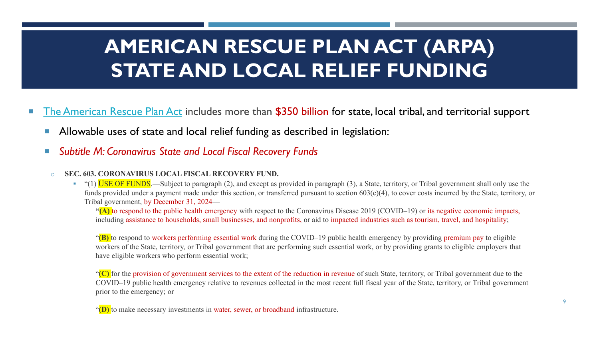## **AMERICAN RESCUE PLAN ACT (ARPA) STATE AND LOCAL RELIEF FUNDING**

- [The American Rescue Plan Act](https://www.congress.gov/bill/117th-congress/house-bill/1319/text) includes more than \$350 billion for state, local tribal, and territorial support
	- Allowable uses of state and local relief funding as described in legislation:
	- *Subtitle M: Coronavirus State and Local Fiscal Recovery Funds*

#### o **SEC. 603. CORONAVIRUS LOCAL FISCAL RECOVERY FUND.**

• "(1) USE OF FUNDS.—Subject to paragraph (2), and except as provided in paragraph (3), a State, territory, or Tribal government shall only use the funds provided under a payment made under this section, or transferred pursuant to section 603(c)(4), to cover costs incurred by the State, territory, or Tribal government, by December 31, 2024—

**"(A)** to respond to the public health emergency with respect to the Coronavirus Disease 2019 (COVID–19) or its negative economic impacts, including assistance to households, small businesses, and nonprofits, or aid to impacted industries such as tourism, travel, and hospitality;

"**(B)** to respond to workers performing essential work during the COVID–19 public health emergency by providing premium pay to eligible workers of the State, territory, or Tribal government that are performing such essential work, or by providing grants to eligible employers that have eligible workers who perform essential work;

"<sup>(C)</sup> for the provision of government services to the extent of the reduction in revenue of such State, territory, or Tribal government due to the COVID–19 public health emergency relative to revenues collected in the most recent full fiscal year of the State, territory, or Tribal government prior to the emergency; or

"**(D)** to make necessary investments in water, sewer, or broadband infrastructure.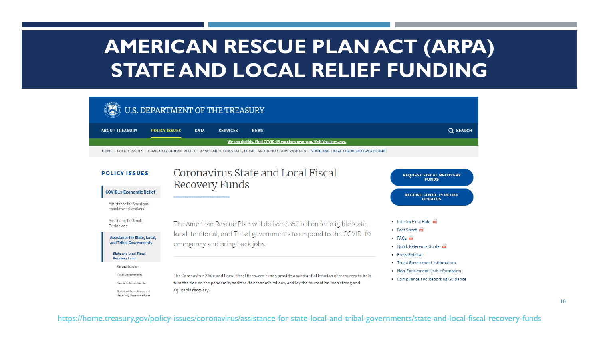## **AMERICAN RESCUE PLAN ACT (ARPA) STATE AND LOCAL RELIEF FUNDING**



#### **POLICY ISSUES**

#### Coronavirus State and Local Fiscal Recovery Funds

#### **COVID19 Economic Relief**

Assistance for American **Families and Workers** 

Assistance for Small **Businesses** 

#### **Assistance for State, Local,** and Tribal Governments

**State and Local Fiscal Recovery Fund** 

- Request Funding
- **Tribal Governments**
- Non-Entitlement Units

Recipient Compliance and **Reporting Responsibilities**  The American Rescue Plan will deliver \$350 billion for eligible state, local, territorial, and Tribal governments to respond to the COVID-19 emergency and bring back jobs.

The Coronavirus State and Local Fiscal Recovery Funds provide a substantial infusion of resources to help turn the tide on the pandemic, address its economic fallout, and lay the foundation for a strong and equitable recovery.



- . Interim Final Rule
- Fact Sheet ma
- $\cdot$  FAOs  $\overline{ca}$
- . Ouick Reference Guide
- Press Release
- Tribal Government Information
- . Non-Entitlement Unit Information
- Compliance and Reporting Guidance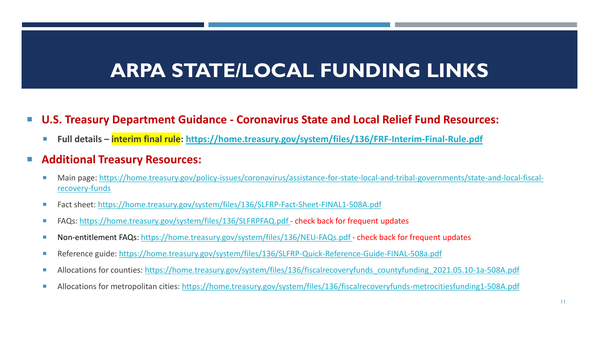## **ARPA STATE/LOCAL FUNDING LINKS**

#### **U.S. Treasury Department Guidance - Coronavirus State and Local Relief Fund Resources:**

**Full details – interim final rule: <https://home.treasury.gov/system/files/136/FRF-Interim-Final-Rule.pdf>**

#### **Additional Treasury Resources:**

- [Main page: https://home.treasury.gov/policy-issues/coronavirus/assistance-for-state-local-and-tribal-governments/state-and-local-fiscal](https://home.treasury.gov/policy-issues/coronavirus/assistance-for-state-local-and-tribal-governments/state-and-local-fiscal-recovery-funds)recovery-funds
- Fact sheet: <https://home.treasury.gov/system/files/136/SLFRP-Fact-Sheet-FINAL1-508A.pdf>
- FAQs:<https://home.treasury.gov/system/files/136/SLFRPFAQ.pdf> check back for frequent updates
- Non-entitlement FAQs:<https://home.treasury.gov/system/files/136/NEU-FAQs.pdf> check back for frequent updates
- Reference guide: <https://home.treasury.gov/system/files/136/SLFRP-Quick-Reference-Guide-FINAL-508a.pdf>
- Allocations for counties: [https://home.treasury.gov/system/files/136/fiscalrecoveryfunds\\_countyfunding\\_2021.05.10-1a-508A.pdf](https://home.treasury.gov/system/files/136/fiscalrecoveryfunds_countyfunding_2021.05.10-1a-508A.pdf)
- Allocations for metropolitan cities: <https://home.treasury.gov/system/files/136/fiscalrecoveryfunds-metrocitiesfunding1-508A.pdf>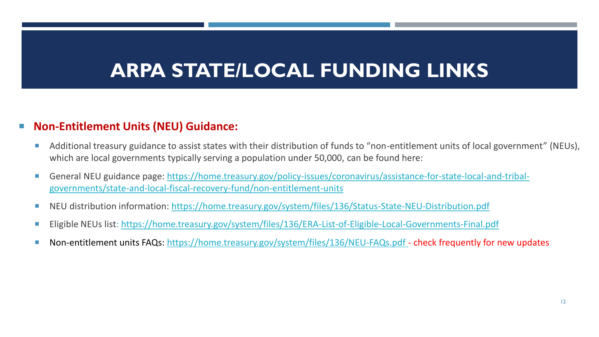## **ARPA STATE/LOCAL FUNDING LINKS**

#### **Non-Entitlement Units (NEU) Guidance:**

- Additional treasury guidance to assist states with their distribution of funds to "non-entitlement units of local government" (NEUs), which are local governments typically serving a population under 50,000, can be found here:
- [General NEU guidance page: https://home.treasury.gov/policy-issues/coronavirus/assistance-for-state-local-and-tribal](https://home.treasury.gov/policy-issues/coronavirus/assistance-for-state-local-and-tribal-governments/state-and-local-fiscal-recovery-fund/non-entitlement-units)governments/state-and-local-fiscal-recovery-fund/non-entitlement-units
- NEU distribution information: <https://home.treasury.gov/system/files/136/Status-State-NEU-Distribution.pdf>
- Eligible NEUs list:<https://home.treasury.gov/system/files/136/ERA-List-of-Eligible-Local-Governments-Final.pdf>
- Non-entitlement units FAQs: <https://home.treasury.gov/system/files/136/NEU-FAQs.pdf> check frequently for new updates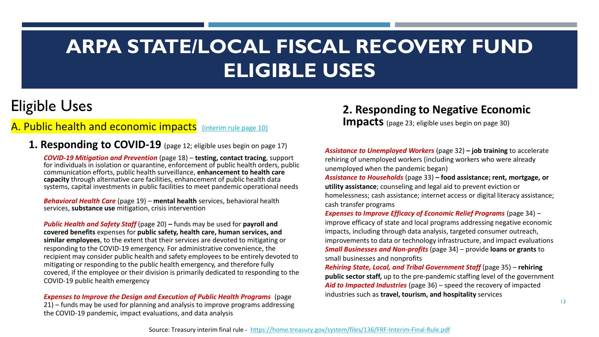## Eligible Uses

#### A. Public health and economic impacts [\(interim rule page 10\)](https://home.treasury.gov/system/files/136/FRF-Interim-Final-Rule.pdf)

**1. Responding to COVID-19** (page 12; eligible uses begin on page 17)

*COVID-19 Mitigation and Prevention* (page 18) – **testing, contact tracing**, support for individuals in isolation or quarantine, enforcement of public health orders, public communication efforts, public health surveillance, **enhancement to health care capacity** through alternative care facilities, enhancement of public health data systems, capital investments in public facilities to meet pandemic operational needs

*Behavioral Health Care* (page 19) *–* **mental health** services, behavioral health services, **substance use** mitigation, crisis intervention

*Public Health and Safety Staff* (page 20) *–* funds may be used for **payroll and covered benefits** expenses for **public safety, health care, human services, and similar employees**, to the extent that their services are devoted to mitigating or responding to the COVID-19 emergency. For administrative convenience, the recipient may consider public health and safety employees to be entirely devoted to mitigating or responding to the public health emergency, and therefore fully covered, if the employee or their division is primarily dedicated to responding to the COVID-19 public health emergency

*Expenses to Improve the Design and Execution of Public Health Programs* (page 21) – funds may be used for planning and analysis to improve programs addressing the COVID-19 pandemic, impact evaluations, and data analysis

#### **2. Responding to Negative Economic**

**Impacts** (page 23; eligible uses begin on page 30)

*Assistance to Unemployed Workers* (page 32) *–* **job training** to accelerate rehiring of unemployed workers (including workers who were already unemployed when the pandemic began)

*Assistance to Households* (page 33) *–* **food assistance; rent, mortgage, or utility assistance**; counseling and legal aid to prevent eviction or homelessness; cash assistance; internet access or digital literacy assistance; cash transfer programs

*Expenses to Improve Efficacy of Economic Relief Programs (page 34) –* improve efficacy of state and local programs addressing negative economic impacts, including through data analysis, targeted consumer outreach, improvements to data or technology infrastructure, and impact evaluations *Small Businesses and Non-profits* (page 34) – provide **loans or grants** to small businesses and nonprofits

*Rehiring State, Local, and Tribal Government Staff* (page 35) – **rehiring public sector staff,** up to the pre-pandemic staffing level of the government *Aid to Impacted Industries* (page 36) *–* speed the recovery of impacted industries such as **travel, tourism, and hospitality** services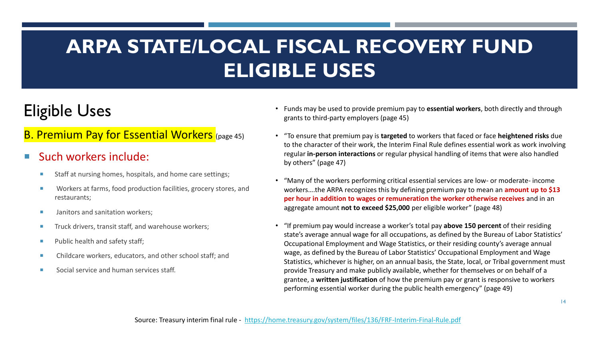## Eligible Uses

### **B. Premium Pay for Essential Workers** (page 45)

#### Such workers include:

- Staff at nursing homes, hospitals, and home care settings;
- Workers at farms, food production facilities, grocery stores, and restaurants;
- **If** Janitors and sanitation workers:
- Truck drivers, transit staff, and warehouse workers;
- $\blacksquare$  Public health and safety staff;
- Childcare workers, educators, and other school staff; and
- Social service and human services staff.
- Funds may be used to provide premium pay to **essential workers**, both directly and through grants to third-party employers (page 45)
- "To ensure that premium pay is **targeted** to workers that faced or face **heightened risks** due to the character of their work, the Interim Final Rule defines essential work as work involving regular **in-person interactions** or regular physical handling of items that were also handled by others" (page 47)
- "Many of the workers performing critical essential services are low- or moderate- income workers….the ARPA recognizes this by defining premium pay to mean an **amount up to \$13 per hour in addition to wages or remuneration the worker otherwise receives** and in an aggregate amount **not to exceed \$25,000** per eligible worker" (page 48)
- "If premium pay would increase a worker's total pay **above 150 percent** of their residing state's average annual wage for all occupations, as defined by the Bureau of Labor Statistics' Occupational Employment and Wage Statistics, or their residing county's average annual wage, as defined by the Bureau of Labor Statistics' Occupational Employment and Wage Statistics, whichever is higher, on an annual basis, the State, local, or Tribal government must provide Treasury and make publicly available, whether for themselves or on behalf of a grantee, a **written justification** of how the premium pay or grant is responsive to workers performing essential worker during the public health emergency" (page 49)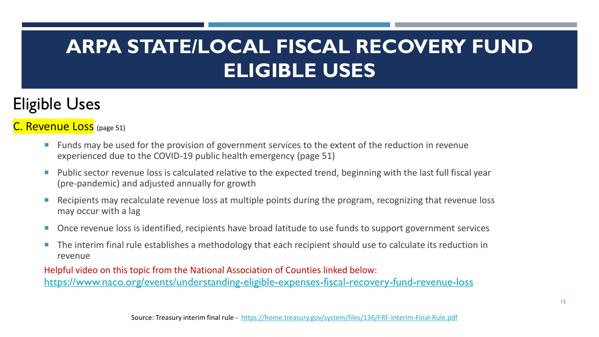## Eligible Uses

## C. Revenue Loss (page 51)

- **Funds may be used for the provision of government services to the extent of the reduction in revenue** experienced due to the COVID-19 public health emergency (page 51)
- **Public sector revenue loss is calculated relative to the expected trend, beginning with the last full fiscal year** (pre-pandemic) and adjusted annually for growth
- Recipients may recalculate revenue loss at multiple points during the program, recognizing that revenue loss may occur with a lag
- Once revenue loss is identified, recipients have broad latitude to use funds to support government services
- The interim final rule establishes a methodology that each recipient should use to calculate its reduction in revenue

Helpful video on this topic from the National Association of Counties linked below: <https://www.naco.org/events/understanding-eligible-expenses-fiscal-recovery-fund-revenue-loss>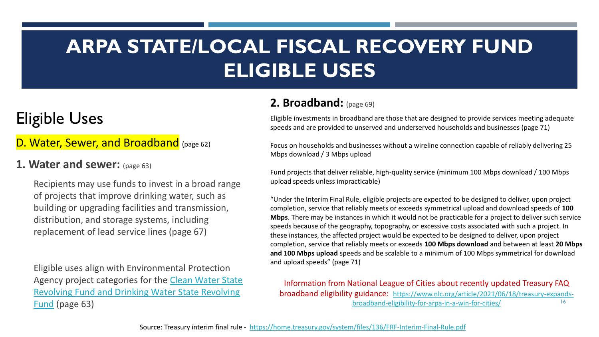## Eligible Uses

## D. Water, Sewer, and Broadband (page 62)

#### **1. Water and sewer:** (page 63)

Recipients may use funds to invest in a broad range of projects that improve drinking water, such as building or upgrading facilities and transmission, distribution, and storage systems, including replacement of lead service lines (page 67)

Eligible uses align with Environmental Protection Agency project categories for the Clean Water State [Revolving Fund and Drinking Water State Revolving](https://www.epa.gov/cwsrf/learn-about-clean-water-state-revolving-fund-cwsrf) 

#### **2. Broadband:** (page 69)

Eligible investments in broadband are those that are designed to provide services meeting adequate speeds and are provided to unserved and underserved households and businesses (page 71)

Focus on households and businesses without a wireline connection capable of reliably delivering 25 Mbps download / 3 Mbps upload

Fund projects that deliver reliable, high-quality service (minimum 100 Mbps download / 100 Mbps upload speeds unless impracticable)

"Under the Interim Final Rule, eligible projects are expected to be designed to deliver, upon project completion, service that reliably meets or exceeds symmetrical upload and download speeds of **100 Mbps**. There may be instances in which it would not be practicable for a project to deliver such service speeds because of the geography, topography, or excessive costs associated with such a project. In these instances, the affected project would be expected to be designed to deliver, upon project completion, service that reliably meets or exceeds **100 Mbps download** and between at least **20 Mbps and 100 Mbps upload** speeds and be scalable to a minimum of 100 Mbps symmetrical for download and upload speeds" (page 71)

Eund (page 63) **16** and 16 and 16 and 16 and 16 and 16 and 16 and 16 and 16 and 16 and 16 and 16 and 16 and 16 and 16 and 16 and 16 and 16 and 16 and 16 and 16 and 16 and 16 and 16 and 16 and 16 and 16 and 16 and 16 and 16 Information from National League of Cities about recently updated Treasury FAQ broadband eligibility guidance: [https://www.nlc.org/article/2021/06/18/treasury-expands-](https://www.nlc.org/article/2021/06/18/treasury-expands-broadband-eligibility-for-arpa-in-a-win-for-cities/)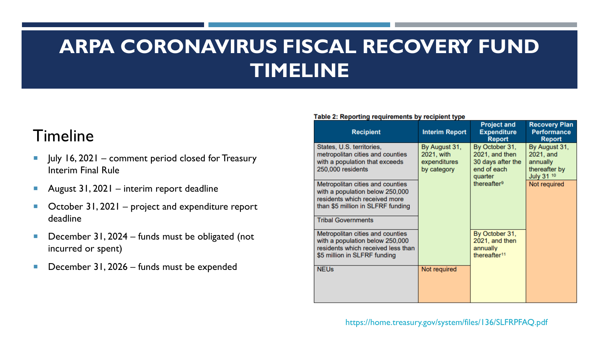## **ARPA CORONAVIRUS FISCAL RECOVERY FUND TIMELINE**

## Timeline

- $\blacksquare$  July 16, 2021 comment period closed for Treasury Interim Final Rule
- August  $31,2021$  interim report deadline
- $\blacksquare$  October 31, 2021 project and expenditure report deadline
- December 31, 2024 funds must be obligated (not incurred or spent)
- December 31, 2026 funds must be expended

#### Table 2: Reporting requirements by recipient type

| <b>Recipient</b>                                                                                                                          | <b>Interim Report</b>       | <b>Project and</b><br><b>Expenditure</b><br><b>Report</b>                | <b>Recovery Plan</b><br><b>Performance</b><br><b>Report</b> |
|-------------------------------------------------------------------------------------------------------------------------------------------|-----------------------------|--------------------------------------------------------------------------|-------------------------------------------------------------|
| States, U.S. territories,<br>metropolitan cities and counties                                                                             | By August 31,<br>2021, with | By October 31,<br>2021, and then                                         | By August 31,<br>2021, and                                  |
| with a population that exceeds<br>250,000 residents                                                                                       | expenditures<br>by category | 30 days after the<br>end of each<br>quarter                              | annually<br>thereafter by<br>July 31 10                     |
| Metropolitan cities and counties<br>with a population below 250,000<br>residents which received more<br>than \$5 million in SLFRF funding |                             | thereafter <sup>9</sup>                                                  | Not required                                                |
| <b>Tribal Governments</b>                                                                                                                 |                             |                                                                          |                                                             |
| Metropolitan cities and counties<br>with a population below 250,000<br>residents which received less than<br>\$5 million in SLFRF funding |                             | By October 31,<br>2021, and then<br>annually<br>thereafter <sup>11</sup> |                                                             |
| <b>NEUs</b>                                                                                                                               | Not required                |                                                                          |                                                             |

https://home.treasury.gov/system/files/136/SLFRPFAQ.pdf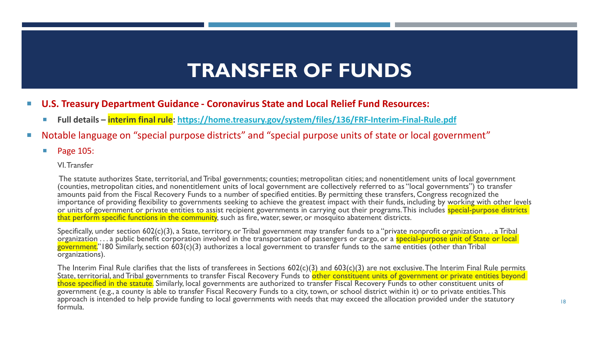## **TRANSFER OF FUNDS**

- **U.S. Treasury Department Guidance - Coronavirus State and Local Relief Fund Resources:**
	- **Full details – interim final rule:<https://home.treasury.gov/system/files/136/FRF-Interim-Final-Rule.pdf>**
- Notable language on "special purpose districts" and "special purpose units of state or local government"
	- **Page 105:**

#### VI. Transfer

The statute authorizes State, territorial, and Tribal governments; counties; metropolitan cities; and nonentitlement units of local government (counties, metropolitan cities, and nonentitlement units of local government are collectively referred to as "local governments") to transfer amounts paid from the Fiscal Recovery Funds to a number of specified entities. By permitting these transfers, Congress recognized the importance of providing flexibility to governments seeking to achieve the greatest impact with their funds, including by working with other levels or units of government or private entities to assist recipient governments in carrying out their programs. This includes special-purpose districts that perform specific functions in the community, such as fire, water, sewer, or mosquito abatement districts.

Specifically, under section 602(c)(3), a State, territory, or Tribal government may transfer funds to a "private nonprofit organization . . . a Tribal organization ... a public benefit corporation involved in the transportation of passengers or cargo, or a special-purpose unit of State or local government."180 Similarly, section 603(c)(3) authorizes a local government to transfer funds to the same entities (other than Tribal organizations).

The Interim Final Rule clarifies that the lists of transferees in Sections 602(c)(3) and 603(c)(3) are not exclusive. The Interim Final Rule permits State, territorial, and Tribal governments to transfer Fiscal Recovery Funds to other constituent units of government or private entities beyond those specified in the statute. Similarly, local governments are authorized to transfer Fiscal Recovery Funds to other constituent units of government (e.g., a county is able to transfer Fiscal Recovery Funds to a city, town, or school district within it) or to private entities. This approach is intended to help provide funding to local governments with needs that may exceed the allocation provided under the statutory formula.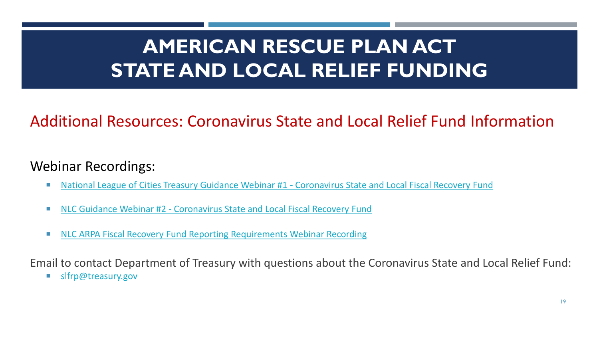## **AMERICAN RESCUE PLAN ACT STATE AND LOCAL RELIEF FUNDING**

## Additional Resources: Coronavirus State and Local Relief Fund Information

## Webinar Recordings:

- [National League of Cities Treasury Guidance Webinar #1 -](https://www.nlc.org/resource/from-the-event-coronavirus-local-fiscal-recovery-fund-treasury-dept-guidance-call/?utm_campaign=Meetings-Events&utm_medium=email&utm_source=informz&utm_content=arp-post-event-ty-20210513&utm_term=button-watch-now&_zs=gxqWc&_zl=rFAb2) Coronavirus State and Local Fiscal Recovery Fund
- NLC Guidance Webinar #2 [Coronavirus State and Local Fiscal Recovery Fund](https://www.nlc.org/resource/from-the-event-arpa-coronavirus-local-fiscal-recovery-funds-guidance-update-call/?utm_campaign=Meetings-Events&utm_medium=email&utm_source=informz&utm_content=arp-post-event-ty-20210524&utm_term=button-watch-now&_zs=gxqWc&_zl=nX7c2)
- [NLC ARPA Fiscal Recovery Fund Reporting Requirements Webinar Recording](https://www.nlc.org/resource/from-the-event-arpa-fiscal-recovery-funds-update-reporting-requirements/)

Email to contact Department of Treasury with questions about the Coronavirus State and Local Relief Fund:

[slfrp@treasury.gov](mailto:slfrp@treasury.gov)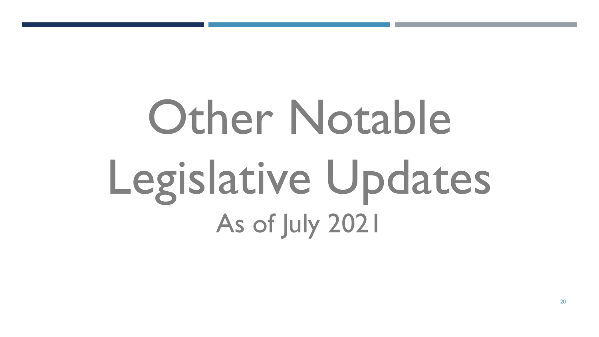# Other Notable Legislative Updates As of July 2021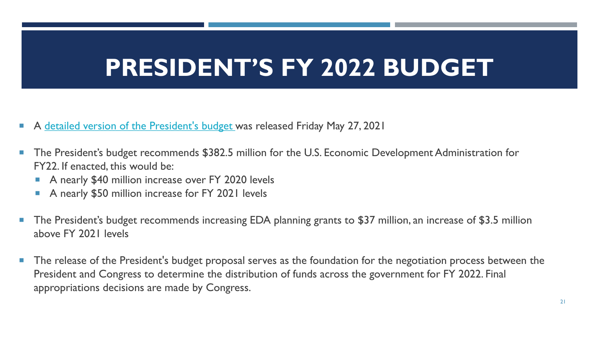# **PRESIDENT'S FY 2022 BUDGET**

- A [detailed version of the President's budget](https://www.nado.org/wp-content/uploads/2021/05/FY22-Presidents-Budget-Request.pdf) was released Friday May 27, 2021
- The President's budget recommends \$382.5 million for the U.S. Economic Development Administration for FY22. If enacted, this would be:
	- A nearly \$40 million increase over FY 2020 levels
	- A nearly \$50 million increase for FY 2021 levels
- The President's budget recommends increasing EDA planning grants to \$37 million, an increase of \$3.5 million above FY 2021 levels
- **The release of the President's budget proposal serves as the foundation for the negotiation process between the** President and Congress to determine the distribution of funds across the government for FY 2022. Final appropriations decisions are made by Congress.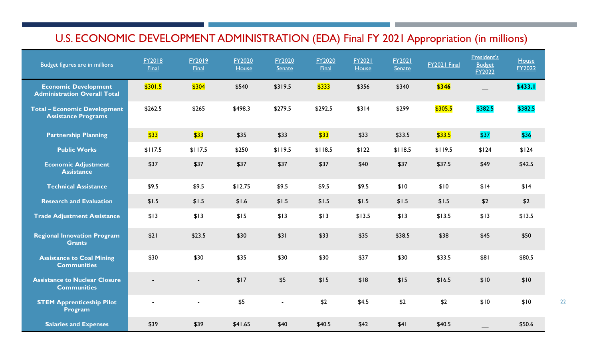## U.S. ECONOMIC DEVELOPMENT ADMINISTRATION (EDA) Final FY 2021 Appropriation (in millions)

| Budget figures are in millions                                     | FY2018<br><b>Final</b> | FY2019<br><b>Final</b> | FY2020<br>House | FY2020<br><b>Senate</b> | FY2020<br><b>Final</b> | <b>FY2021</b><br>House | <b>FY2021</b><br><b>Senate</b> | FY2021 Final | President's<br><b>Budget</b><br>FY2022 | House<br>FY2022 |
|--------------------------------------------------------------------|------------------------|------------------------|-----------------|-------------------------|------------------------|------------------------|--------------------------------|--------------|----------------------------------------|-----------------|
| <b>Economic Development</b><br><b>Administration Overall Total</b> | \$301.5                | \$304                  | \$540           | \$319.5                 | \$333                  | \$356                  | \$340                          | \$346        |                                        | <b>\$433.1</b>  |
| <b>Total - Economic Development</b><br><b>Assistance Programs</b>  | \$262.5                | \$265                  | \$498.3         | \$279.5                 | \$292.5                | \$314                  | \$299                          | \$305.5      | \$382.5                                | \$382.5         |
| <b>Partnership Planning</b>                                        | \$33                   | \$33                   | \$35            | \$33                    | \$33                   | \$33                   | \$33.5                         | \$33.5       | \$37                                   | \$36            |
| <b>Public Works</b>                                                | \$117.5                | \$117.5                | \$250           | \$119.5                 | \$118.5                | \$122                  | \$118.5                        | \$119.5      | \$124                                  | \$124           |
| <b>Economic Adjustment</b><br><b>Assistance</b>                    | \$37                   | \$37                   | \$37            | \$37                    | \$37                   | \$40                   | \$37                           | \$37.5       | \$49                                   | \$42.5          |
| <b>Technical Assistance</b>                                        | \$9.5                  | \$9.5                  | \$12.75         | \$9.5                   | \$9.5                  | \$9.5                  | \$10                           | \$10         | \$14                                   | \$14            |
| <b>Research and Evaluation</b>                                     | \$1.5                  | \$1.5                  | \$1.6           | \$1.5                   | \$1.5                  | \$1.5                  | \$1.5                          | \$1.5        | \$2                                    | \$2             |
| <b>Trade Adjustment Assistance</b>                                 | \$13                   | \$13                   | \$15            | \$13                    | \$13                   | \$13.5                 | \$13                           | \$13.5       | \$13                                   | \$13.5          |
| <b>Regional Innovation Program</b><br><b>Grants</b>                | \$21                   | \$23.5                 | \$30            | \$31                    | \$33                   | \$35                   | \$38.5                         | \$38         | \$45                                   | \$50            |
| <b>Assistance to Coal Mining</b><br><b>Communities</b>             | \$30                   | \$30                   | \$35            | \$30                    | \$30                   | \$37                   | \$30                           | \$33.5       | \$81                                   | \$80.5          |
| <b>Assistance to Nuclear Closure</b><br><b>Communities</b>         |                        | $\blacksquare$         | \$17            | \$5                     | \$15                   | \$18                   | \$15                           | \$16.5       | \$10                                   | \$10            |
| <b>STEM Apprenticeship Pilot</b><br>Program                        | $\blacksquare$         | $\blacksquare$         | \$5             | $\blacksquare$          | \$2                    | \$4.5                  | \$2                            | \$2          | \$10                                   | \$10            |
| <b>Salaries and Expenses</b>                                       | \$39                   | \$39                   | \$41.65         | \$40                    | \$40.5                 | \$42                   | \$41                           | \$40.5       |                                        | \$50.6          |

22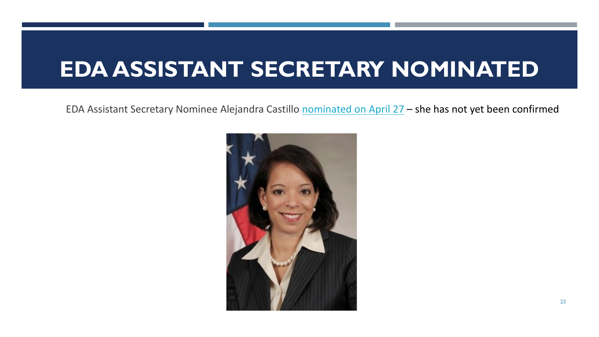## **EDA ASSISTANT SECRETARY NOMINATED**

EDA Assistant Secretary Nominee Alejandra Castillo [nominated on April 27](https://www.whitehouse.gov/briefing-room/statements-releases/2021/04/27/president-biden-announces-key-administration-nominations/) – she has not yet been confirmed

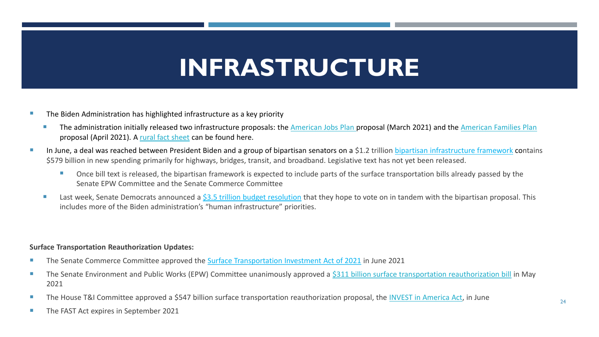# **INFRASTRUCTURE**

- The Biden Administration has highlighted infrastructure as a key priority
	- The administration initially released two infrastructure proposals: the [American Jobs Plan](https://www.whitehouse.gov/briefing-room/statements-releases/2021/03/31/fact-sheet-the-american-jobs-plan/) proposal (March 2021) and the [American Families Plan](https://www.whitehouse.gov/briefing-room/statements-releases/2021/04/28/fact-sheet-the-american-families-plan/) proposal (April 2021). A [rural fact sheet](https://www.whitehouse.gov/wp-content/uploads/2021/04/AFP-Fact-Sheet-Rural.pdf) can be found here.
- In June, a deal was reached between President Biden and a group of bipartisan senators on a \$1.2 trillion [bipartisan infrastructure framework](https://nam12.safelinks.protection.outlook.com/?url=https%3A%2F%2Furl.emailprotection.link%2F%3FbJKOQ0VZr3uvx6j48UNle2WuWegCF_JafwE9-9U02CxKPHCTuTRjGMQ_OsI8YxqVVgDNKf4o5vOuUc4kC1NGFytFjYH1wCIWpOE138of2dMJt6JRY2rCpiv1FY2GBIiGqgw2q_7NDNk9vk1kutGSGWQ3Ou9m_YKyGynirB-nzBX_NFI8LmBaLaW0G51bGjHEpXBqZte73LaAMZi1uAbu3Ag~~&data=04%7C01%7CMBurgoyne%40nado.org%7C0af6df53b6fa4d52aa3a08d948641d78%7C8072f21c6f0d489997927331ade058cf%7C1%7C0%7C637620417111161857%7CUnknown%7CTWFpbGZsb3d8eyJWIjoiMC4wLjAwMDAiLCJQIjoiV2luMzIiLCJBTiI6Ik1haWwiLCJXVCI6Mn0%3D%7C1000&sdata=tZbHQD5zEK%2Fs9iaDy3ZMsrE%2Bs4DQI%2FqoEHk7ENgQJB4%3D&reserved=0) contains \$579 billion in new spending primarily for highways, bridges, transit, and broadband. Legislative text has not yet been released.
	- Once bill text is released, the bipartisan framework is expected to include parts of the surface transportation bills already passed by the Senate EPW Committee and the Senate Commerce Committee
	- Last week, Senate Democrats announced a [\\$3.5 trillion budget resolution](https://nam12.safelinks.protection.outlook.com/?url=https%3A%2F%2Furl.emailprotection.link%2F%3FbMvveKHuPx0pSNO-M4RGMcQX1CkOgEFdZ6PtFaax7B0-qtVAjyAROVcCw7BYy_ZA1PQPTMtL9IiJsIpkguFXqyH1vclU9JEwOVpGCkOxudfCt-0WqqghllGOGzbePmSSKsT2E0S0_n8_eJRAn5GoJRninqIrc9jdTTa7uHYTyruU~&data=04%7C01%7CMBurgoyne%40nado.org%7C0af6df53b6fa4d52aa3a08d948641d78%7C8072f21c6f0d489997927331ade058cf%7C1%7C0%7C637620417111151861%7CUnknown%7CTWFpbGZsb3d8eyJWIjoiMC4wLjAwMDAiLCJQIjoiV2luMzIiLCJBTiI6Ik1haWwiLCJXVCI6Mn0%3D%7C1000&sdata=Zzb62bsC2U8bCZqCGdkmoooMNwysSy%2FFG8PxVNXUfP4%3D&reserved=0) that they hope to vote on in tandem with the bipartisan proposal. This includes more of the Biden administration's "human infrastructure" priorities.

#### **Surface Transportation Reauthorization Updates:**

- The Senate Commerce Committee approved the [Surface Transportation Investment Act of 2021](https://www.commerce.senate.gov/services/files/7A88B060-F769-4772-969E-29E9B2ABA903) in June 2021
- The Senate Environment and Public Works (EPW) Committee unanimously approved a [\\$311 billion surface transportation reauthorization bill](https://www.epw.senate.gov/public/_cache/files/a/5/a53f0dff-9ebc-4ab2-a74c-f11698c6a93d/C4B5572EE70DE0D4689DD1B00EFF24C9.section-by-section-clean-final.pdf) in May 2021
- The House T&I Committee approved a \$547 billion surface transportation reauthorization proposal, the [INVEST in America Act](https://transportation.house.gov/imo/media/doc/HR%20__%20INVEST%20in%20America%20Act%20Section%20by%20Section_Final.pdf), in June
- **The FAST Act expires in September 2021**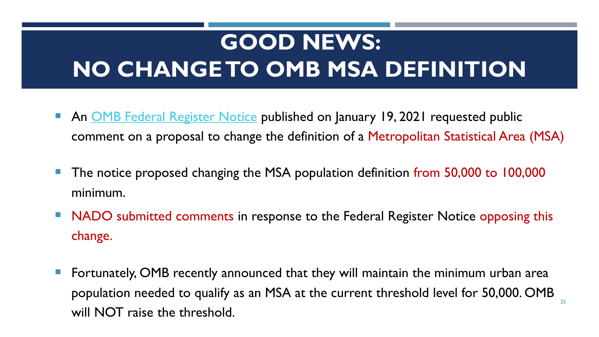# **GOOD NEWS: NO CHANGE TO OMB MSA DEFINITION**

- An [OMB Federal Register Notice](https://www.federalregister.gov/documents/2021/01/19/2021-00988/recommendations-from-the-metropolitan-and-micropolitan-statistical-area-standards-review-committee) published on January 19, 2021 requested public comment on a proposal to change the definition of a Metropolitan Statistical Area (MSA)
- The notice proposed changing the MSA population definition from 50,000 to 100,000 minimum.
- NADO submitted comments in response to the Federal Register Notice opposing this change.
- Fortunately, OMB recently announced that they will maintain the minimum urban area population needed to qualify as an MSA at the current threshold level for 50,000. OMB will NOT raise the threshold.

25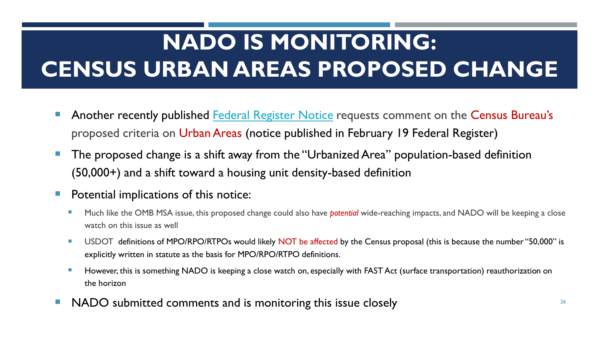# **NADO IS MONITORING: CENSUS URBAN AREAS PROPOSED CHANGE**

- Another recently published **Federal Register Notice** requests comment on the Census Bureau's proposed criteria on Urban Areas (notice published in February 19 Federal Register)
- The proposed change is a shift away from the "Urbanized Area" population-based definition (50,000+) and a shift toward a housing unit density-based definition
- Potential implications of this notice:
	- Much like the OMB MSA issue, this proposed change could also have *potential* wide-reaching impacts, and NADO will be keeping a close watch on this issue as well
	- USDOT definitions of MPO/RPO/RTPOs would likely NOT be affected by the Census proposal (this is because the number "50,000" is explicitly written in statute as the basis for MPO/RPO/RTPO definitions.
	- **However, this is something NADO is keeping a close watch on, especially with FAST Act (surface transportation) reauthorization on** the horizon
- NADO submitted comments and is monitoring this issue closely **EXECUTE:** The mass of the set of the set of the set of the set of the set of the set of the set of the set of the set of the set of the set of the set of the se